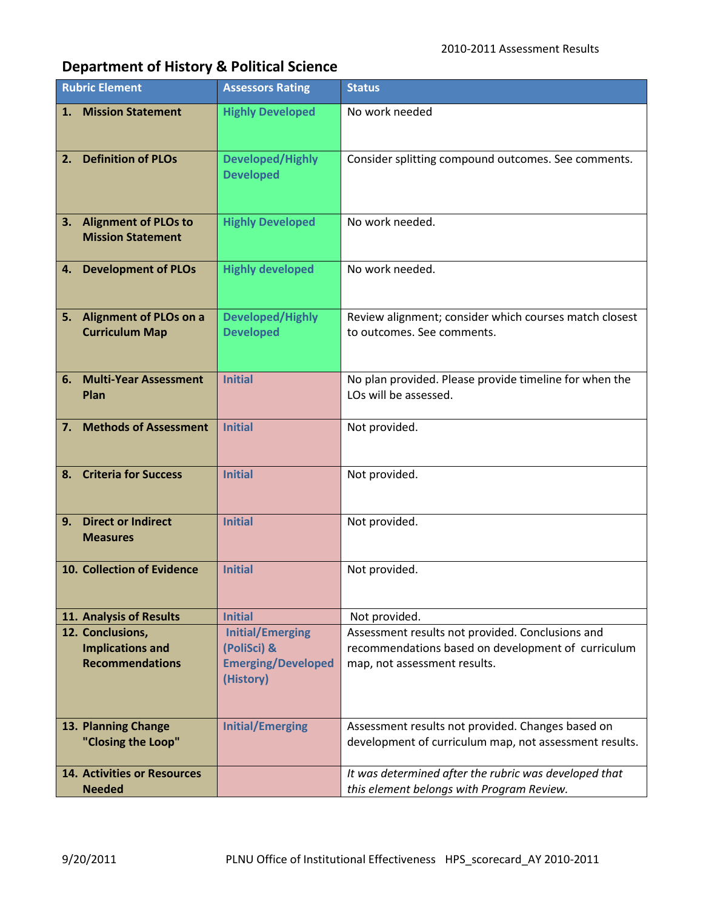## **Department of History & Political Science**

| <b>Rubric Element</b> |                                                                       | <b>Assessors Rating</b>                                                          | <b>Status</b>                                                                                                                          |
|-----------------------|-----------------------------------------------------------------------|----------------------------------------------------------------------------------|----------------------------------------------------------------------------------------------------------------------------------------|
| 1.                    | <b>Mission Statement</b>                                              | <b>Highly Developed</b>                                                          | No work needed                                                                                                                         |
| 2.                    | <b>Definition of PLOs</b>                                             | <b>Developed/Highly</b><br><b>Developed</b>                                      | Consider splitting compound outcomes. See comments.                                                                                    |
|                       | 3. Alignment of PLOs to<br><b>Mission Statement</b>                   | <b>Highly Developed</b>                                                          | No work needed.                                                                                                                        |
| 4.                    | <b>Development of PLOs</b>                                            | <b>Highly developed</b>                                                          | No work needed.                                                                                                                        |
|                       | 5. Alignment of PLOs on a<br><b>Curriculum Map</b>                    | <b>Developed/Highly</b><br><b>Developed</b>                                      | Review alignment; consider which courses match closest<br>to outcomes. See comments.                                                   |
| 6.                    | <b>Multi-Year Assessment</b><br>Plan                                  | <b>Initial</b>                                                                   | No plan provided. Please provide timeline for when the<br>LOs will be assessed.                                                        |
| 7.                    | <b>Methods of Assessment</b>                                          | <b>Initial</b>                                                                   | Not provided.                                                                                                                          |
| 8.                    | <b>Criteria for Success</b>                                           | <b>Initial</b>                                                                   | Not provided.                                                                                                                          |
| 9.                    | <b>Direct or Indirect</b><br><b>Measures</b>                          | <b>Initial</b>                                                                   | Not provided.                                                                                                                          |
|                       | 10. Collection of Evidence                                            | <b>Initial</b>                                                                   | Not provided.                                                                                                                          |
|                       | 11. Analysis of Results                                               | <b>Initial</b>                                                                   | Not provided.                                                                                                                          |
|                       | 12. Conclusions,<br><b>Implications and</b><br><b>Recommendations</b> | <b>Initial/Emerging</b><br>(PoliSci) &<br><b>Emerging/Developed</b><br>(History) | Assessment results not provided. Conclusions and<br>recommendations based on development of curriculum<br>map, not assessment results. |
|                       | 13. Planning Change<br>"Closing the Loop"                             | <b>Initial/Emerging</b>                                                          | Assessment results not provided. Changes based on<br>development of curriculum map, not assessment results.                            |
|                       | <b>14. Activities or Resources</b><br><b>Needed</b>                   |                                                                                  | It was determined after the rubric was developed that<br>this element belongs with Program Review.                                     |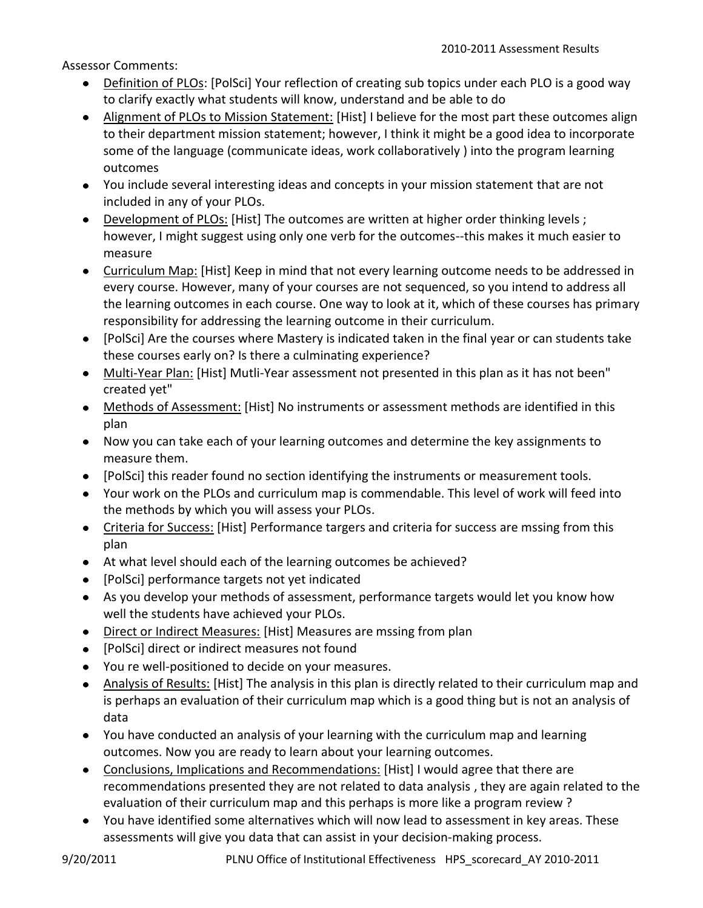Assessor Comments:

- Definition of PLOs: [PolSci] Your reflection of creating sub topics under each PLO is a good way to clarify exactly what students will know, understand and be able to do
- Alignment of PLOs to Mission Statement: [Hist] I believe for the most part these outcomes align to their department mission statement; however, I think it might be a good idea to incorporate some of the language (communicate ideas, work collaboratively ) into the program learning outcomes
- You include several interesting ideas and concepts in your mission statement that are not included in any of your PLOs.
- Development of PLOs: [Hist] The outcomes are written at higher order thinking levels; however, I might suggest using only one verb for the outcomes--this makes it much easier to measure
- Curriculum Map: [Hist] Keep in mind that not every learning outcome needs to be addressed in every course. However, many of your courses are not sequenced, so you intend to address all the learning outcomes in each course. One way to look at it, which of these courses has primary responsibility for addressing the learning outcome in their curriculum.
- [PolSci] Are the courses where Mastery is indicated taken in the final year or can students take these courses early on? Is there a culminating experience?
- Multi-Year Plan: [Hist] Mutli-Year assessment not presented in this plan as it has not been" created yet"
- Methods of Assessment: [Hist] No instruments or assessment methods are identified in this plan
- Now you can take each of your learning outcomes and determine the key assignments to measure them.
- [PolSci] this reader found no section identifying the instruments or measurement tools.
- Your work on the PLOs and curriculum map is commendable. This level of work will feed into the methods by which you will assess your PLOs.
- Criteria for Success: [Hist] Performance targers and criteria for success are mssing from this plan
- At what level should each of the learning outcomes be achieved?
- [PolSci] performance targets not yet indicated
- As you develop your methods of assessment, performance targets would let you know how well the students have achieved your PLOs.
- Direct or Indirect Measures: [Hist] Measures are mssing from plan
- [PolSci] direct or indirect measures not found
- You re well-positioned to decide on your measures.
- Analysis of Results: [Hist] The analysis in this plan is directly related to their curriculum map and is perhaps an evaluation of their curriculum map which is a good thing but is not an analysis of data
- You have conducted an analysis of your learning with the curriculum map and learning outcomes. Now you are ready to learn about your learning outcomes.
- Conclusions, Implications and Recommendations: [Hist] I would agree that there are recommendations presented they are not related to data analysis , they are again related to the evaluation of their curriculum map and this perhaps is more like a program review ?
- You have identified some alternatives which will now lead to assessment in key areas. These assessments will give you data that can assist in your decision-making process.